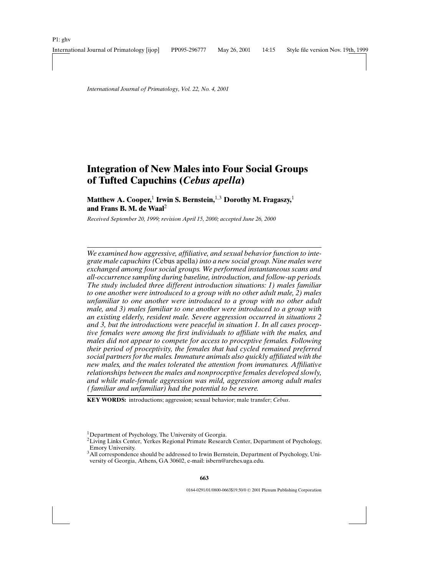# **Integration of New Males into Four Social Groups of Tufted Capuchins (***Cebus apella***)**

**Matthew A. Cooper,**<sup>1</sup> **Irwin S. Bernstein,**1,3 **Dorothy M. Fragaszy,**<sup>1</sup> **and Frans B. M. de Waal**<sup>2</sup>

*Received September 20, 1999; revision April 15, 2000; accepted June 26, 2000*

*We examined how aggressive, affiliative, and sexual behavior function to integrate male capuchins (*Cebus apella*) into a new social group. Nine males were exchanged among four social groups. We performed instantaneous scans and all-occurrence sampling during baseline, introduction, and follow-up periods. The study included three different introduction situations: 1) males familiar to one another were introduced to a group with no other adult male, 2) males unfamiliar to one another were introduced to a group with no other adult male, and 3) males familiar to one another were introduced to a group with an existing elderly, resident male. Severe aggression occurred in situations 2 and 3, but the introductions were peaceful in situation 1. In all cases proceptive females were among the first individuals to affiliate with the males, and males did not appear to compete for access to proceptive females. Following their period of proceptivity, the females that had cycled remained preferred social partners for the males. Immature animals also quickly affiliated with the new males, and the males tolerated the attention from immatures. Affiliative relationships between the males and nonproceptive females developed slowly, and while male-female aggression was mild, aggression among adult males ( familiar and unfamiliar) had the potential to be severe.*

**KEY WORDS:** introductions; aggression; sexual behavior; male transfer; *Cebus*.

<sup>3</sup>All correspondence should be addressed to Irwin Bernstein, Department of Psychology, University of Georgia, Athens, GA 30602, e-mail: isbern@arches.uga.edu.

<sup>&</sup>lt;sup>1</sup>Department of Psychology, The University of Georgia.

<sup>&</sup>lt;sup>2</sup>Living Links Center, Yerkes Regional Primate Research Center, Department of Psychology, Emory University.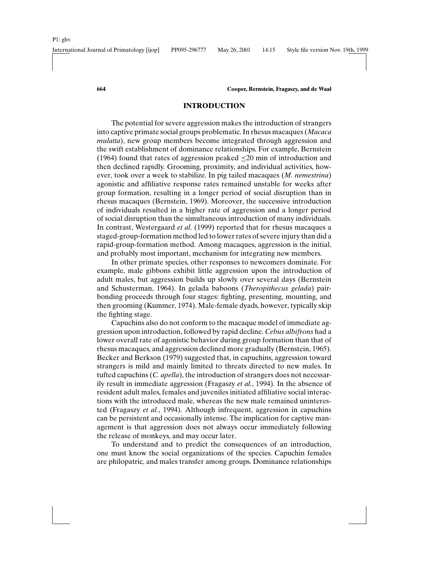# **INTRODUCTION**

The potential for severe aggression makes the introduction of strangers into captive primate social groups problematic. In rhesus macaques (*Macaca mulatta*), new group members become integrated through aggression and the swift establishment of dominance relationships. For example, Bernstein (1964) found that rates of aggression peaked  $\leq 20$  min of introduction and then declined rapidly. Grooming, proximity, and individual activities, however, took over a week to stabilize. In pig tailed macaques (*M. nemestrina*) agonistic and affiliative response rates remained unstable for weeks after group formation, resulting in a longer period of social disruption than in rhesus macaques (Bernstein, 1969). Moreover, the successive introduction of individuals resulted in a higher rate of aggression and a longer period of social disruption than the simultaneous introduction of many individuals. In contrast, Westergaard *et al*. (1999) reported that for rhesus macaques a staged-group-formation method led to lower rates of severe injury than did a rapid-group-formation method. Among macaques, aggression is the initial, and probably most important, mechanism for integrating new members.

In other primate species, other responses to newcomers dominate. For example, male gibbons exhibit little aggression upon the introduction of adult males, but aggression builds up slowly over several days (Bernstein and Schusterman, 1964). In gelada baboons (*Theropithecus gelada*) pairbonding proceeds through four stages: fighting, presenting, mounting, and then grooming (Kummer, 1974). Male-female dyads, however, typically skip the fighting stage.

Capuchins also do not conform to the macaque model of immediate aggression upon introduction, followed by rapid decline. *Cebus albifrons* had a lower overall rate of agonistic behavior during group formation than that of rhesus macaques, and aggression declined more gradually (Bernstein, 1965). Becker and Berkson (1979) suggested that, in capuchins, aggression toward strangers is mild and mainly limited to threats directed to new males. In tufted capuchins (*C. apella*), the introduction of strangers does not necessarily result in immediate aggression (Fragaszy *et al.*, 1994). In the absence of resident adult males, females and juveniles initiated affiliative social interactions with the introduced male, whereas the new male remained uninterested (Fragaszy *et al.*, 1994). Although infrequent, aggression in capuchins can be persistent and occasionally intense. The implication for captive management is that aggression does not always occur immediately following the release of monkeys, and may occur later.

To understand and to predict the consequences of an introduction, one must know the social organizations of the species. Capuchin females are philopatric, and males transfer among groups. Dominance relationships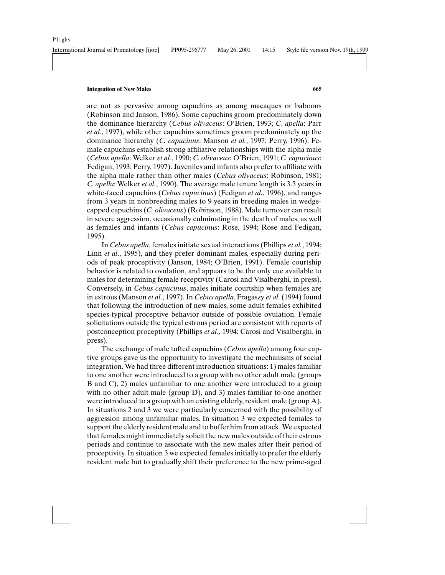are not as pervasive among capuchins as among macaques or baboons (Robinson and Janson, 1986). Some capuchins groom predominately down the dominance hierarchy (*Cebus olivaceus*: O'Brien, 1993; *C. apella*: Parr *et al.*, 1997), while other capuchins sometimes groom predominately up the dominance hierarchy (*C. capucinus*: Manson *et al.*, 1997; Perry, 1996). Female capuchins establish strong affiliative relationships with the alpha male (*Cebus apella*: Welker *et al.*, 1990; *C. olivaceus*: O'Brien, 1991; *C. capucinus*: Fedigan, 1993; Perry, 1997). Juveniles and infants also prefer to affiliate with the alpha male rather than other males (*Cebus olivaceus*: Robinson, 1981; *C. apella*: Welker *et al.*, 1990). The average male tenure length is 3.3 years in white-faced capuchins (*Cebus capucinus*) (Fedigan *et al.*, 1996), and ranges from 3 years in nonbreeding males to 9 years in breeding males in wedgecapped capuchins (*C. olivaceus*) (Robinson, 1988). Male turnover can result in severe aggression, occasionally culminating in the death of males, as well as females and infants (*Cebus capucinus*: Rose, 1994; Rose and Fedigan, 1995).

In *Cebus apella*, females initiate sexual interactions (Phillips *et al.*, 1994; Linn *et al*., 1995), and they prefer dominant males, especially during periods of peak proceptivity (Janson, 1984; O'Brien, 1991). Female courtship behavior is related to ovulation, and appears to be the only cue available to males for determining female receptivity (Carosi and Visalberghi, in press). Conversely, in *Cebus capucinus*, males initiate courtship when females are in estrous (Manson *et al.*, 1997). In *Cebus apella*, Fragaszy *et al.* (1994) found that following the introduction of new males, some adult females exhibited species-typical proceptive behavior outside of possible ovulation. Female solicitations outside the typical estrous period are consistent with reports of postconception proceptivity (Phillips *et al.*, 1994; Carosi and Visalberghi, in press).

The exchange of male tufted capuchins (*Cebus apella*) among four captive groups gave us the opportunity to investigate the mechanisms of social integration. We had three different introduction situations: 1) males familiar to one another were introduced to a group with no other adult male (groups B and C), 2) males unfamiliar to one another were introduced to a group with no other adult male (group D), and 3) males familiar to one another were introduced to a group with an existing elderly, resident male (group A). In situations 2 and 3 we were particularly concerned with the possibility of aggression among unfamiliar males. In situation 3 we expected females to support the elderly resident male and to buffer him from attack. We expected that females might immediately solicit the new males outside of their estrous periods and continue to associate with the new males after their period of proceptivity. In situation 3 we expected females initially to prefer the elderly resident male but to gradually shift their preference to the new prime-aged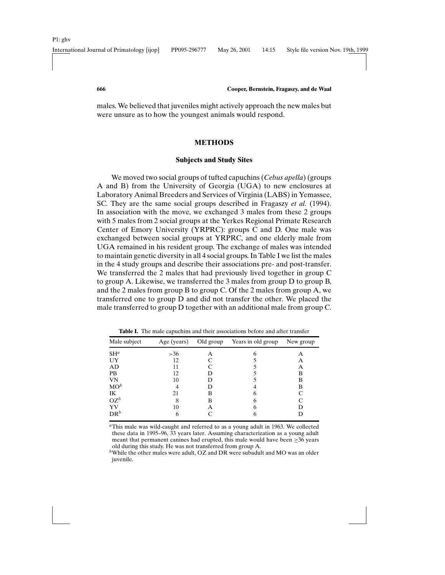males. We believed that juveniles might actively approach the new males but were unsure as to how the youngest animals would respond.

# **METHODS**

# **Subjects and Study Sites**

We moved two social groups of tufted capuchins (*Cebus apella*) (groups A and B) from the University of Georgia (UGA) to new enclosures at Laboratory Animal Breeders and Services of Virginia (LABS) in Yemassee, SC. They are the same social groups described in Fragaszy *et al.* (1994). In association with the move, we exchanged 3 males from these 2 groups with 5 males from 2 social groups at the Yerkes Regional Primate Research Center of Emory University (YRPRC): groups C and D. One male was exchanged between social groups at YRPRC, and one elderly male from UGA remained in his resident group. The exchange of males was intended to maintain genetic diversity in all 4 social groups. In Table I we list the males in the 4 study groups and describe their associations pre- and post-transfer. We transferred the 2 males that had previously lived together in group C to group A. Likewise, we transferred the 3 males from group D to group B, and the 2 males from group B to group C. Of the 2 males from group A, we transferred one to group D and did not transfer the other. We placed the male transferred to group D together with an additional male from group C.

| Male subject | Age (years) | Old group | Years in old group | New group |
|--------------|-------------|-----------|--------------------|-----------|
| $SH^a$       | >36         | А         |                    | А         |
| UY           | 12          |           |                    | Α         |
| AD           | 11          |           |                    | Α         |
| <b>PB</b>    | 12          | D         |                    | в         |
| VN           | 10          | D         |                    | в         |
| $MO^b$       |             | D         |                    | B         |
| IK           | 21          | В         | 6                  |           |
| $OZ^b$       | 8           | B         |                    |           |
| YV           | 10          | A         |                    | D         |
| $DR^b$       | 6           |           |                    |           |

**Table I.** The male capuchins and their associations before and after transfer

*<sup>a</sup>*This male was wild-caught and referred to as a young adult in 1963. We collected these data in 1995–96, 33 years later. Assuming characterization as a young adult meant that permanent canines had erupted, this male would have been  $\geq$ 36 years old during this study. He was not transferred from group A.

*<sup>b</sup>*While the other males were adult, OZ and DR were subadult and MO was an older juvenile.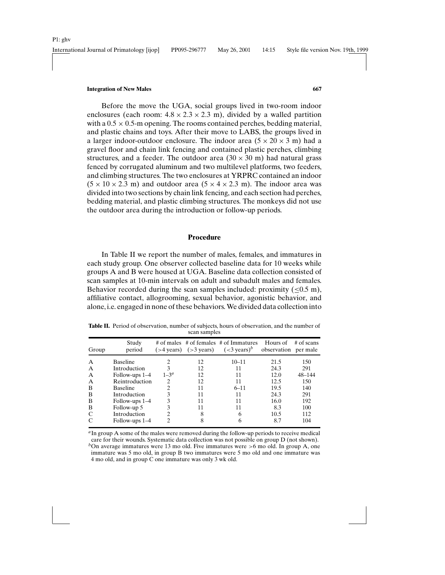Before the move the UGA, social groups lived in two-room indoor enclosures (each room:  $4.8 \times 2.3 \times 2.3$  m), divided by a walled partition with a  $0.5 \times 0.5$ -m opening. The rooms contained perches, bedding material, and plastic chains and toys. After their move to LABS, the groups lived in a larger indoor-outdoor enclosure. The indoor area  $(5 \times 20 \times 3 \text{ m})$  had a gravel floor and chain link fencing and contained plastic perches, climbing structures, and a feeder. The outdoor area  $(30 \times 30 \text{ m})$  had natural grass fenced by corrugated aluminum and two multilevel platforms, two feeders, and climbing structures. The two enclosures at YRPRC contained an indoor  $(5 \times 10 \times 2.3 \text{ m})$  and outdoor area  $(5 \times 4 \times 2.3 \text{ m})$ . The indoor area was divided into two sections by chain link fencing, and each section had perches, bedding material, and plastic climbing structures. The monkeys did not use the outdoor area during the introduction or follow-up periods.

# **Procedure**

In Table II we report the number of males, females, and immatures in each study group. One observer collected baseline data for 10 weeks while groups A and B were housed at UGA. Baseline data collection consisted of scan samples at 10-min intervals on adult and subadult males and females. Behavior recorded during the scan samples included: proximity  $(< 0.5 \text{ m})$ , affiliative contact, allogrooming, sexual behavior, agonistic behavior, and alone, i.e. engaged in none of these behaviors. We divided data collection into

| Group        | Study<br>period  |                | $($ >4 years) $($ >3 years) | # of males # of females # of Immatures<br>$(<$ 3 years) <sup>b</sup> | Hours of<br>observation per male | $#$ of scans |
|--------------|------------------|----------------|-----------------------------|----------------------------------------------------------------------|----------------------------------|--------------|
| $\mathsf{A}$ | <b>Baseline</b>  |                | 12                          | $10 - 11$                                                            | 21.5                             | 150          |
| A            | Introduction     | 3              | 12                          | 11                                                                   | 24.3                             | 291          |
| A            | Follow-ups 1–4   | $1 - 3^a$      | 12                          | 11                                                                   | 12.0                             | $48 - 144$   |
| A            | Reintroduction   | $\overline{c}$ | 12                          | 11                                                                   | 12.5                             | 150          |
| B            | <b>Baseline</b>  | 2              | 11                          | $6 - 11$                                                             | 19.5                             | 140          |
| B            | Introduction     | 3              | 11                          | 11                                                                   | 24.3                             | 291          |
| B            | Follow-ups $1-4$ | 3              | 11                          | 11                                                                   | 16.0                             | 192          |
| B            | Follow-up 5      | 3              | 11                          | 11                                                                   | 8.3                              | 100          |
| C            | Introduction     | $\mathfrak{D}$ | 8                           | 6                                                                    | 10.5                             | 112          |
|              | Follow-ups $1-4$ | 2              | 8                           | 6                                                                    | 8.7                              | 104          |

**Table II.** Period of observation, number of subjects, hours of observation, and the number of scan samples

*<sup>a</sup>* In group A some of the males were removed during the follow-up periods to receive medical care for their wounds. Systematic data collection was not possible on group D (not shown).  $b$ On average immatures were 13 mo old. Five immatures were  $>6$  mo old. In group A, one immature was 5 mo old, in group B two immatures were 5 mo old and one immature was 4 mo old, and in group C one immature was only 3 wk old.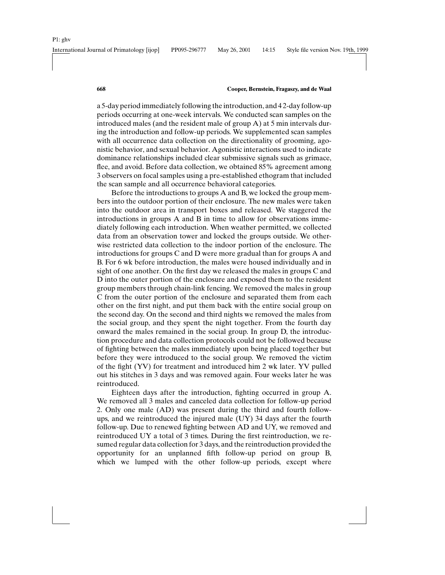a 5-day period immediately following the introduction, and 4 2-day follow-up periods occurring at one-week intervals. We conducted scan samples on the introduced males (and the resident male of group A) at 5 min intervals during the introduction and follow-up periods. We supplemented scan samples with all occurrence data collection on the directionality of grooming, agonistic behavior, and sexual behavior. Agonistic interactions used to indicate dominance relationships included clear submissive signals such as grimace, flee, and avoid. Before data collection, we obtained 85% agreement among 3 observers on focal samples using a pre-established ethogram that included the scan sample and all occurrence behavioral categories.

Before the introductions to groups A and B, we locked the group members into the outdoor portion of their enclosure. The new males were taken into the outdoor area in transport boxes and released. We staggered the introductions in groups A and B in time to allow for observations immediately following each introduction. When weather permitted, we collected data from an observation tower and locked the groups outside. We otherwise restricted data collection to the indoor portion of the enclosure. The introductions for groups C and D were more gradual than for groups A and B. For 6 wk before introduction, the males were housed individually and in sight of one another. On the first day we released the males in groups C and D into the outer portion of the enclosure and exposed them to the resident group members through chain-link fencing. We removed the males in group C from the outer portion of the enclosure and separated them from each other on the first night, and put them back with the entire social group on the second day. On the second and third nights we removed the males from the social group, and they spent the night together. From the fourth day onward the males remained in the social group. In group D, the introduction procedure and data collection protocols could not be followed because of fighting between the males immediately upon being placed together but before they were introduced to the social group. We removed the victim of the fight (YV) for treatment and introduced him 2 wk later. YV pulled out his stitches in 3 days and was removed again. Four weeks later he was reintroduced.

Eighteen days after the introduction, fighting occurred in group A. We removed all 3 males and canceled data collection for follow-up period 2. Only one male (AD) was present during the third and fourth followups, and we reintroduced the injured male (UY) 34 days after the fourth follow-up. Due to renewed fighting between AD and UY, we removed and reintroduced UY a total of 3 times. During the first reintroduction, we resumed regular data collection for 3 days, and the reintroduction provided the opportunity for an unplanned fifth follow-up period on group B, which we lumped with the other follow-up periods, except where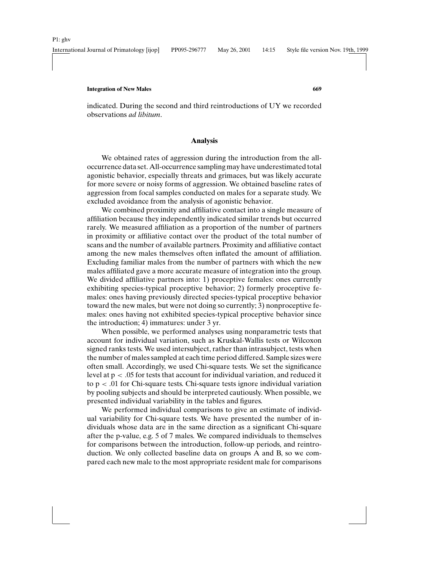indicated. During the second and third reintroductions of UY we recorded observations *ad libitum*.

# **Analysis**

We obtained rates of aggression during the introduction from the alloccurrence data set. All-occurrence sampling may have underestimated total agonistic behavior, especially threats and grimaces, but was likely accurate for more severe or noisy forms of aggression. We obtained baseline rates of aggression from focal samples conducted on males for a separate study. We excluded avoidance from the analysis of agonistic behavior.

We combined proximity and affiliative contact into a single measure of affiliation because they independently indicated similar trends but occurred rarely. We measured affiliation as a proportion of the number of partners in proximity or affiliative contact over the product of the total number of scans and the number of available partners. Proximity and affiliative contact among the new males themselves often inflated the amount of affiliation. Excluding familiar males from the number of partners with which the new males affiliated gave a more accurate measure of integration into the group. We divided affiliative partners into: 1) proceptive females: ones currently exhibiting species-typical proceptive behavior; 2) formerly proceptive females: ones having previously directed species-typical proceptive behavior toward the new males, but were not doing so currently; 3) nonproceptive females: ones having not exhibited species-typical proceptive behavior since the introduction; 4) immatures: under 3 yr.

When possible, we performed analyses using nonparametric tests that account for individual variation, such as Kruskal-Wallis tests or Wilcoxon signed ranks tests. We used intersubject, rather than intrasubject, tests when the number of males sampled at each time period differed. Sample sizes were often small. Accordingly, we used Chi-square tests. We set the significance level at p < .05 for tests that account for individual variation, and reduced it to  $p < 0.01$  for Chi-square tests. Chi-square tests ignore individual variation by pooling subjects and should be interpreted cautiously. When possible, we presented individual variability in the tables and figures.

We performed individual comparisons to give an estimate of individual variability for Chi-square tests. We have presented the number of individuals whose data are in the same direction as a significant Chi-square after the p-value, e.g. 5 of 7 males. We compared individuals to themselves for comparisons between the introduction, follow-up periods, and reintroduction. We only collected baseline data on groups A and B, so we compared each new male to the most appropriate resident male for comparisons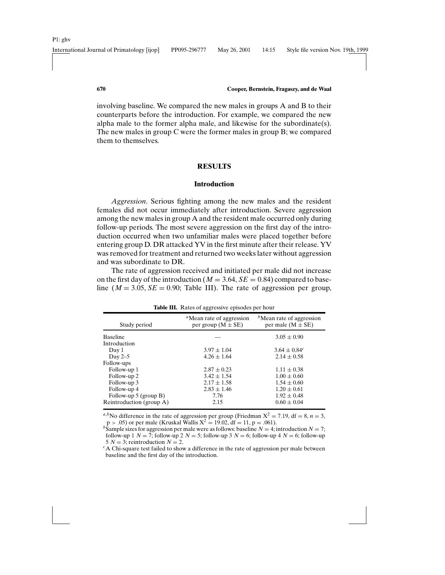involving baseline. We compared the new males in groups A and B to their counterparts before the introduction. For example, we compared the new alpha male to the former alpha male, and likewise for the subordinate(s). The new males in group C were the former males in group B; we compared them to themselves.

# **RESULTS**

# **Introduction**

*Aggression*. Serious fighting among the new males and the resident females did not occur immediately after introduction. Severe aggression among the new males in group A and the resident male occurred only during follow-up periods. The most severe aggression on the first day of the introduction occurred when two unfamiliar males were placed together before entering group D. DR attacked YV in the first minute after their release. YV was removed for treatment and returned two weeks later without aggression and was subordinate to DR.

The rate of aggression received and initiated per male did not increase on the first day of the introduction ( $M = 3.64$ ,  $SE = 0.84$ ) compared to baseline ( $M = 3.05$ ,  $SE = 0.90$ ; Table III). The rate of aggression per group,

| Study period             | <sup><i>a</i></sup> Mean rate of aggression<br>per group $(M \pm SE)$ | $b$ Mean rate of aggression<br>per male $(M \pm SE)$ |
|--------------------------|-----------------------------------------------------------------------|------------------------------------------------------|
| <b>Baseline</b>          |                                                                       | $3.05 \pm 0.90$                                      |
| Introduction             |                                                                       |                                                      |
| Day 1                    | $3.97 \pm 1.04$                                                       | $3.64 \pm 0.84$ <sup>c</sup>                         |
| Day $2-5$                | $4.26 \pm 1.64$                                                       | $2.14 \pm 0.58$                                      |
| Follow-ups               |                                                                       |                                                      |
| Follow-up 1              | $2.87 \pm 0.23$                                                       | $1.11 \pm 0.38$                                      |
| Follow-up 2              | $3.42 \pm 1.54$                                                       | $1.00 \pm 0.60$                                      |
| Follow-up 3              | $2.17 \pm 1.58$                                                       | $1.54 \pm 0.60$                                      |
| Follow-up 4              | $2.83 \pm 1.46$                                                       | $1.20 \pm 0.61$                                      |
| Follow-up $5$ (group B)  | 7.76                                                                  | $1.92 \pm 0.48$                                      |
| Reintroduction (group A) | 2.15                                                                  | $0.60 \pm 0.04$                                      |

**Table III.** Rates of aggressive episodes per hour

*a*,*b*No difference in the rate of aggression per group (Friedman  $X^2 = 7.19$ , df = 8, *n* = 3,  $p > .05$ ) or per male (Kruskal Wallis  $X^2 = 19.02$ , df = 11,  $p = .061$ ).

 $b$ Sample sizes for aggression per male were as follows: baseline *N* = 4; introduction *N* = 7; follow-up 1 *N* =  $\overline{7}$ ; follow-up 2 *N* = 5; follow-up 3 *N* = 6; follow-up 4 *N* = 6; follow-up 5 *N* = 3; reintroduction *N* = 2.

<sup>c</sup>A Chi-square test failed to show a difference in the rate of aggression per male between baseline and the first day of the introduction.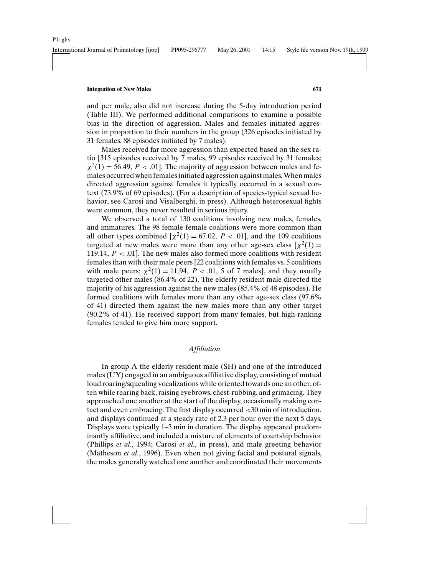and per male, also did not increase during the 5-day introduction period (Table III). We performed additional comparisons to examine a possible bias in the direction of aggression. Males and females initiated aggression in proportion to their numbers in the group (326 episodes initiated by 31 females, 88 episodes initiated by 7 males).

Males received far more aggression than expected based on the sex ratio [315 episodes received by 7 males, 99 episodes received by 31 females;  $\chi^2(1) = 56.49$ ,  $P < .01$ . The majority of aggression between males and females occurred when females initiated aggression against males. When males directed aggression against females it typically occurred in a sexual context (73.9% of 69 episodes). (For a description of species-typical sexual behavior, see Carosi and Visalberghi, in press). Although heterosexual fights were common, they never resulted in serious injury.

We observed a total of 130 coalitions involving new males, females, and immatures. The 98 female-female coalitions were more common than all other types combined  $[\chi^2(1) = 67.02, P < .01]$ , and the 109 coalitions targeted at new males were more than any other age-sex class  $\lceil \chi^2(1) \rceil$ 119.14,  $P < .01$ . The new males also formed more coalitions with resident females than with their male peers [22 coalitions with females vs. 5 coalitions with male peers;  $\chi^2(1) = 11.94$ ,  $\overline{P} < .01$ , 5 of 7 males], and they usually targeted other males (86.4% of 22). The elderly resident male directed the majority of his aggression against the new males (85.4% of 48 episodes). He formed coalitions with females more than any other age-sex class (97.6% of 41) directed them against the new males more than any other target (90.2% of 41). He received support from many females, but high-ranking females tended to give him more support.

# *Affiliation*

In group A the elderly resident male (SH) and one of the introduced males (UY) engaged in an ambiguous affiliative display, consisting of mutual loud roaring/squealing vocalizations while oriented towards one an other, often while rearing back, raising eyebrows, chest-rubbing, and grimacing. They approached one another at the start of the display, occasionally making contact and even embracing. The first display occurred <30 min of introduction, and displays continued at a steady rate of 2.3 per hour over the next 5 days. Displays were typically 1–3 min in duration. The display appeared predominantly affiliative, and included a mixture of elements of courtship behavior (Phillips *et al.*, 1994; Carosi *et al.*, in press), and male greeting behavior (Matheson *et al.*, 1996). Even when not giving facial and postural signals, the males generally watched one another and coordinated their movements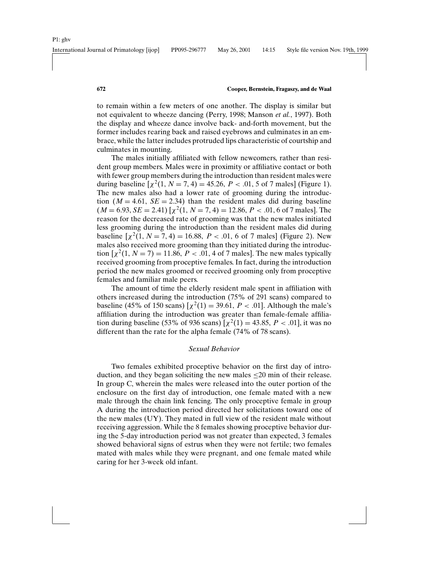to remain within a few meters of one another. The display is similar but not equivalent to wheeze dancing (Perry, 1998; Manson *et al.*, 1997). Both the display and wheeze dance involve back- and-forth movement, but the former includes rearing back and raised eyebrows and culminates in an embrace, while the latter includes protruded lips characteristic of courtship and culminates in mounting.

The males initially affiliated with fellow newcomers, rather than resident group members. Males were in proximity or affiliative contact or both with fewer group members during the introduction than resident males were during baseline  $[\chi^2(1, N = 7, 4) = 45.26, P < .01, 5$  of 7 males (Figure 1). The new males also had a lower rate of grooming during the introduction  $(M = 4.61, SE = 2.34)$  than the resident males did during baseline  $(M = 6.93, SE = 2.41)$   $[\chi^2(1, N = 7, 4) = 12.86, P < .01, 6$  of 7 males]. The reason for the decreased rate of grooming was that the new males initiated less grooming during the introduction than the resident males did during baseline  $[\chi^2(1, N = 7, 4) = 16.88, P < .01, 6$  of 7 males] (Figure 2). New males also received more grooming than they initiated during the introduction  $[\chi^2(1, N = 7) = 11.86, P < .01, 4$  of 7 males]. The new males typically received grooming from proceptive females. In fact, during the introduction period the new males groomed or received grooming only from proceptive females and familiar male peers.

The amount of time the elderly resident male spent in affiliation with others increased during the introduction (75% of 291 scans) compared to baseline (45% of 150 scans)  $[\chi^2(1) = 39.6]$ , *P* < .01]. Although the male's affiliation during the introduction was greater than female-female affiliation during baseline (53% of 936 scans)  $[\chi^2(1) = 43.85, P < .01]$ , it was no different than the rate for the alpha female (74% of 78 scans).

# *Sexual Behavior*

Two females exhibited proceptive behavior on the first day of introduction, and they began soliciting the new males  $\leq$ 20 min of their release. In group C, wherein the males were released into the outer portion of the enclosure on the first day of introduction, one female mated with a new male through the chain link fencing. The only proceptive female in group A during the introduction period directed her solicitations toward one of the new males (UY). They mated in full view of the resident male without receiving aggression. While the 8 females showing proceptive behavior during the 5-day introduction period was not greater than expected, 3 females showed behavioral signs of estrus when they were not fertile; two females mated with males while they were pregnant, and one female mated while caring for her 3-week old infant.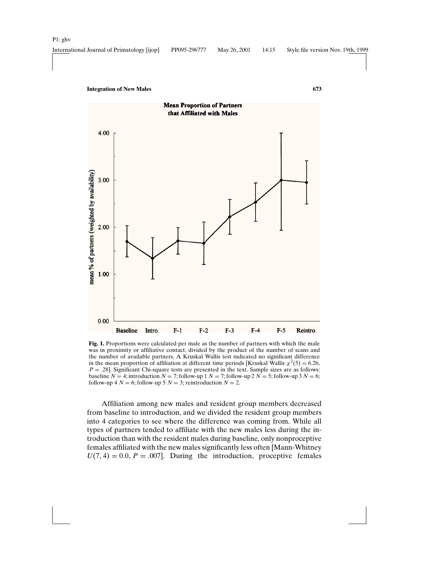

**Mean Proportion of Partners** that Affiliated with Males

**Fig. 1.** Proportions were calculated per male as the number of partners with which the male was in proximity or affiliative contact, divided by the product of the number of scans and the number of available partners. A Kruskal Wallis test indicated no significant difference in the mean proportion of affiliation at different time periods [Kruskal Wallis  $\chi^2(5) = 6.26$ ,  $P = .28$ . Significant Chi-square tests are presented in the text. Sample sizes are as follows: baseline  $N = 4$ ; introduction  $N = 7$ ; follow-up 1  $N = 7$ ; follow-up 2  $N = 5$ ; follow-up 3  $N = 6$ ; follow-up 4  $N = 6$ ; follow-up 5  $N = 3$ ; reintroduction  $N = 2$ .

Affiliation among new males and resident group members decreased from baseline to introduction, and we divided the resident group members into 4 categories to see where the difference was coming from. While all types of partners tended to affiliate with the new males less during the introduction than with the resident males during baseline, only nonproceptive females affiliated with the new males significantly less often [Mann-Whitney  $U(7, 4) = 0.0$ ,  $P = .007$ . During the introduction, proceptive females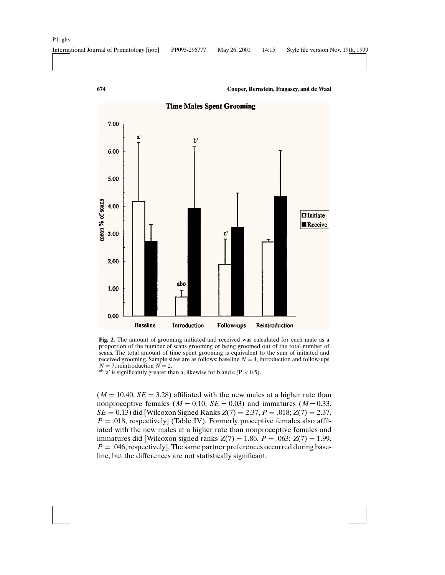

# **Time Males Spent Grooming**

**Fig. 2.** The amount of grooming initiated and received was calculated for each male as a proportion of the number of scans grooming or being groomed out of the total number of scans. The total amount of time spent grooming is equivalent to the sum of initiated and received grooming. Sample sizes are as follows: baseline  $N = 4$ , introduction and follow-ups  $N = 7$ , reintroduction  $N = 2$ .

 $A^{abc}a'$  is significantly greater than a, likewise for b and c (P < 0.5).

 $(M = 10.40, SE = 3.28)$  affiliated with the new males at a higher rate than nonproceptive females ( $M = 0.10$ ,  $SE = 0.03$ ) and immatures ( $M = 0.33$ ,  $SE = 0.13$ ) did [Wilcoxon Signed Ranks  $Z(7) = 2.37, P = .018; Z(7) = 2.37$ ,  $P = 0.018$ , respectively] (Table IV). Formerly proceptive females also affiliated with the new males at a higher rate than nonproceptive females and immatures did [Wilcoxon signed ranks  $Z(7) = 1.86$ ,  $P = .063$ ;  $Z(7) = 1.99$ ,  $P = 0.046$ , respectively]. The same partner preferences occurred during baseline, but the differences are not statistically significant.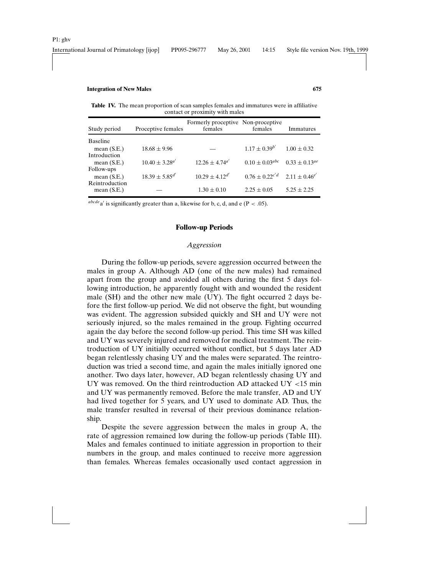| Study period                  | Proceptive females    | Formerly proceptive Non-proceptive<br>females | females                                | Immatures             |  |  |
|-------------------------------|-----------------------|-----------------------------------------------|----------------------------------------|-----------------------|--|--|
| <b>Baseline</b>               |                       |                                               |                                        |                       |  |  |
| mean $(S.E.)$<br>Introduction | $18.68 \pm 9.96$      |                                               | $1.17 \pm 0.39^{b'}$                   | $1.00 \pm 0.32$       |  |  |
| mean $(S.E.)$                 | $10.40 \pm 3.28^{a'}$ | $12.26 \pm 4.74^{a'}$                         | $0.10 \pm 0.03^{abc}$                  | $0.33 \pm 0.13^{a}$ e |  |  |
| Follow-ups<br>mean $(S.E.)$   | $18.39 + 5.85^{d'}$   | $10.29 \pm 4.12^{d'}$                         | $0.76 + 0.22^{c'd}$ $2.11 + 0.46^{e'}$ |                       |  |  |
| Reintroduction                |                       |                                               |                                        |                       |  |  |
| mean $(S.E.)$                 |                       | $1.30 \pm 0.10$                               | $2.25 \pm 0.05$                        | $5.25 + 2.25$         |  |  |

**Table IV.** The mean proportion of scan samples females and immatures were in affiliative contact or proximity with males

 $abcde$ <sup>a</sup>' is significantly greater than a, likewise for b, c, d, and e (P < .05).

# **Follow-up Periods**

# *Aggression*

During the follow-up periods, severe aggression occurred between the males in group A. Although AD (one of the new males) had remained apart from the group and avoided all others during the first 5 days following introduction, he apparently fought with and wounded the resident male (SH) and the other new male (UY). The fight occurred 2 days before the first follow-up period. We did not observe the fight, but wounding was evident. The aggression subsided quickly and SH and UY were not seriously injured, so the males remained in the group. Fighting occurred again the day before the second follow-up period. This time SH was killed and UY was severely injured and removed for medical treatment. The reintroduction of UY initially occurred without conflict, but 5 days later AD began relentlessly chasing UY and the males were separated. The reintroduction was tried a second time, and again the males initially ignored one another. Two days later, however, AD began relentlessly chasing UY and UY was removed. On the third reintroduction AD attacked UY <15 min and UY was permanently removed. Before the male transfer, AD and UY had lived together for 5 years, and UY used to dominate AD. Thus, the male transfer resulted in reversal of their previous dominance relationship.

Despite the severe aggression between the males in group A, the rate of aggression remained low during the follow-up periods (Table III). Males and females continued to initiate aggression in proportion to their numbers in the group, and males continued to receive more aggression than females. Whereas females occasionally used contact aggression in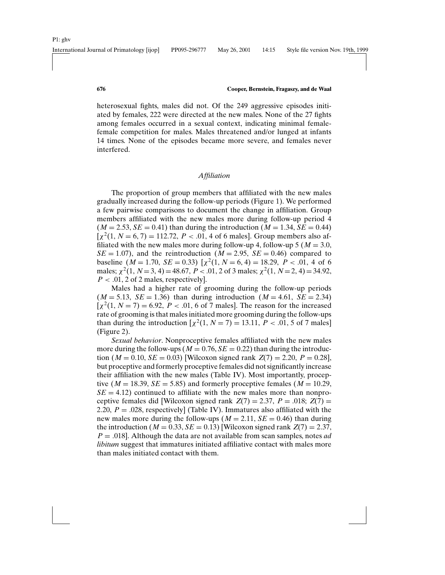heterosexual fights, males did not. Of the 249 aggressive episodes initiated by females, 222 were directed at the new males. None of the 27 fights among females occurred in a sexual context, indicating minimal femalefemale competition for males. Males threatened and/or lunged at infants 14 times. None of the episodes became more severe, and females never interfered.

# *Affiliation*

The proportion of group members that affiliated with the new males gradually increased during the follow-up periods (Figure 1). We performed a few pairwise comparisons to document the change in affiliation. Group members affiliated with the new males more during follow-up period 4  $(M = 2.53, SE = 0.41)$  than during the introduction  $(M = 1.34, SE = 0.44)$  $[\chi^2(1, N = 6, 7) = 112.72, P < .01, 4$  of 6 males]. Group members also affiliated with the new males more during follow-up 4, follow-up 5 ( $M = 3.0$ ,  $SE = 1.07$ , and the reintroduction ( $M = 2.95$ ,  $SE = 0.46$ ) compared to baseline  $(M = 1.70, SE = 0.33)$   $[\chi^2(1, N = 6, 4) = 18.29, P < .01, 4$  of 6 males;  $\chi^2(1, N=3, 4) = 48.67, P < .01, 2$  of 3 males;  $\chi^2(1, N=2, 4) = 34.92$ ,  $P < .01, 2$  of 2 males, respectively].

Males had a higher rate of grooming during the follow-up periods  $(M = 5.13, SE = 1.36)$  than during introduction  $(M = 4.61, SE = 2.34)$  $\int \chi^2(1, N = 7) = 6.92$ ,  $P < .01$ , 6 of 7 males. The reason for the increased rate of grooming is that males initiated more grooming during the follow-ups than during the introduction  $[\chi^2(1, N = 7) = 13.11, P < .01, 5$  of 7 males] (Figure 2).

*Sexual behavior*. Nonproceptive females affiliated with the new males more during the follow-ups ( $M = 0.76$ ,  $SE = 0.22$ ) than during the introduction ( $M = 0.10$ ,  $SE = 0.03$ ) [Wilcoxon signed rank  $Z(7) = 2.20$ ,  $P = 0.28$ ], but proceptive and formerly proceptive females did not significantly increase their affiliation with the new males (Table IV). Most importantly, proceptive ( $M = 18.39$ ,  $SE = 5.85$ ) and formerly proceptive females ( $M = 10.29$ ,  $SE = 4.12$ ) continued to affiliate with the new males more than nonproceptive females did [Wilcoxon signed rank  $Z(7) = 2.37$ ,  $P = .018$ ;  $Z(7) =$ 2.20,  $P = 0.028$ , respectively] (Table IV). Immatures also affiliated with the new males more during the follow-ups ( $M = 2.11$ ,  $SE = 0.46$ ) than during the introduction ( $M = 0.33$ ,  $SE = 0.13$ ) [Wilcoxon signed rank  $Z(7) = 2.37$ , *P* = .018]. Although the data are not available from scan samples, notes *ad libitum* suggest that immatures initiated affiliative contact with males more than males initiated contact with them.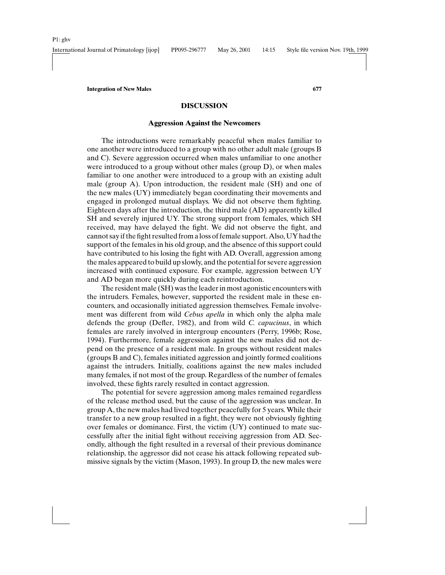# **DISCUSSION**

# **Aggression Against the Newcomers**

The introductions were remarkably peaceful when males familiar to one another were introduced to a group with no other adult male (groups B and C). Severe aggression occurred when males unfamiliar to one another were introduced to a group without other males (group D), or when males familiar to one another were introduced to a group with an existing adult male (group A). Upon introduction, the resident male (SH) and one of the new males (UY) immediately began coordinating their movements and engaged in prolonged mutual displays. We did not observe them fighting. Eighteen days after the introduction, the third male (AD) apparently killed SH and severely injured UY. The strong support from females, which SH received, may have delayed the fight. We did not observe the fight, and cannot say if the fight resulted from a loss of female support. Also, UY had the support of the females in his old group, and the absence of this support could have contributed to his losing the fight with AD. Overall, aggression among the males appeared to build up slowly, and the potential for severe aggression increased with continued exposure. For example, aggression between UY and AD began more quickly during each reintroduction.

The resident male (SH) was the leader in most agonistic encounters with the intruders. Females, however, supported the resident male in these encounters, and occasionally initiated aggression themselves. Female involvement was different from wild *Cebus apella* in which only the alpha male defends the group (Defler, 1982), and from wild *C. capucinus*, in which females are rarely involved in intergroup encounters (Perry, 1996b; Rose, 1994). Furthermore, female aggression against the new males did not depend on the presence of a resident male. In groups without resident males (groups B and C), females initiated aggression and jointly formed coalitions against the intruders. Initially, coalitions against the new males included many females, if not most of the group. Regardless of the number of females involved, these fights rarely resulted in contact aggression.

The potential for severe aggression among males remained regardless of the release method used, but the cause of the aggression was unclear. In group A, the new males had lived together peacefully for 5 years. While their transfer to a new group resulted in a fight, they were not obviously fighting over females or dominance. First, the victim (UY) continued to mate successfully after the initial fight without receiving aggression from AD. Secondly, although the fight resulted in a reversal of their previous dominance relationship, the aggressor did not cease his attack following repeated submissive signals by the victim (Mason, 1993). In group D, the new males were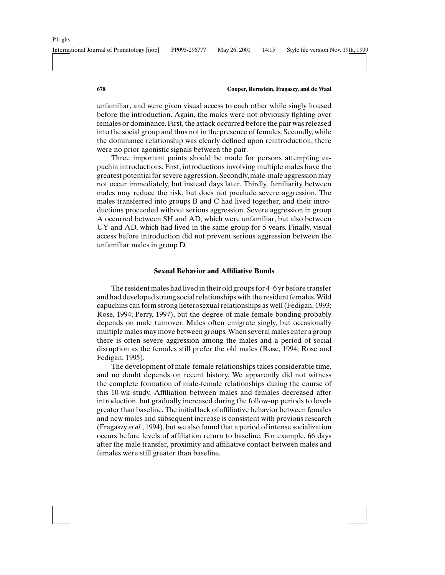unfamiliar, and were given visual access to each other while singly housed before the introduction. Again, the males were not obviously fighting over females or dominance. First, the attack occurred before the pair was released into the social group and thus not in the presence of females. Secondly, while the dominance relationship was clearly defined upon reintroduction, there were no prior agonistic signals between the pair.

Three important points should be made for persons attempting capuchin introductions. First, introductions involving multiple males have the greatest potential for severe aggression. Secondly, male-male aggression may not occur immediately, but instead days later. Thirdly, familiarity between males may reduce the risk, but does not preclude severe aggression. The males transferred into groups B and C had lived together, and their introductions proceeded without serious aggression. Severe aggression in group A occurred between SH and AD, which were unfamiliar, but also between UY and AD, which had lived in the same group for 5 years. Finally, visual access before introduction did not prevent serious aggression between the unfamiliar males in group D.

# **Sexual Behavior and Affiliative Bonds**

The resident males had lived in their old groups for 4–6 yr before transfer and had developed strong social relationships with the resident females. Wild capuchins can form strong heterosexual relationships as well (Fedigan, 1993; Rose, 1994; Perry, 1997), but the degree of male-female bonding probably depends on male turnover. Males often emigrate singly, but occasionally multiple males may move between groups. When several males enter a group there is often severe aggression among the males and a period of social disruption as the females still prefer the old males (Rose, 1994; Rose and Fedigan, 1995).

The development of male-female relationships takes considerable time, and no doubt depends on recent history. We apparently did not witness the complete formation of male-female relationships during the course of this 10-wk study. Affiliation between males and females decreased after introduction, but gradually increased during the follow-up periods to levels greater than baseline. The initial lack of affiliative behavior between females and new males and subsequent increase is consistent with previous research (Fragaszy *et al.*, 1994), but we also found that a period of intense socialization occurs before levels of affiliation return to baseline. For example, 66 days after the male transfer, proximity and affiliative contact between males and females were still greater than baseline.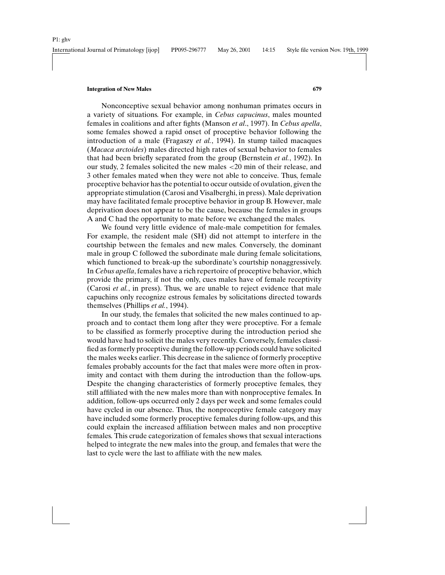Nonconceptive sexual behavior among nonhuman primates occurs in a variety of situations. For example, in *Cebus capucinus*, males mounted females in coalitions and after fights (Manson *et al*., 1997). In *Cebus apella*, some females showed a rapid onset of proceptive behavior following the introduction of a male (Fragaszy *et al.*, 1994). In stump tailed macaques (*Macaca arctoides*) males directed high rates of sexual behavior to females that had been briefly separated from the group (Bernstein *et al.*, 1992). In our study, 2 females solicited the new males <20 min of their release, and 3 other females mated when they were not able to conceive. Thus, female proceptive behavior has the potential to occur outside of ovulation, given the appropriate stimulation (Carosi and Visalberghi, in press). Male deprivation may have facilitated female proceptive behavior in group B. However, male deprivation does not appear to be the cause, because the females in groups A and C had the opportunity to mate before we exchanged the males.

We found very little evidence of male-male competition for females. For example, the resident male (SH) did not attempt to interfere in the courtship between the females and new males. Conversely, the dominant male in group C followed the subordinate male during female solicitations, which functioned to break-up the subordinate's courtship nonaggressively. In *Cebus apella*, females have a rich repertoire of proceptive behavior, which provide the primary, if not the only, cues males have of female receptivity (Carosi *et al.*, in press). Thus, we are unable to reject evidence that male capuchins only recognize estrous females by solicitations directed towards themselves (Phillips *et al.*, 1994).

In our study, the females that solicited the new males continued to approach and to contact them long after they were proceptive. For a female to be classified as formerly proceptive during the introduction period she would have had to solicit the males very recently. Conversely, females classified as formerly proceptive during the follow-up periods could have solicited the males weeks earlier. This decrease in the salience of formerly proceptive females probably accounts for the fact that males were more often in proximity and contact with them during the introduction than the follow-ups. Despite the changing characteristics of formerly proceptive females, they still affiliated with the new males more than with nonproceptive females. In addition, follow-ups occurred only 2 days per week and some females could have cycled in our absence. Thus, the nonproceptive female category may have included some formerly proceptive females during follow-ups, and this could explain the increased affiliation between males and non proceptive females. This crude categorization of females shows that sexual interactions helped to integrate the new males into the group, and females that were the last to cycle were the last to affiliate with the new males.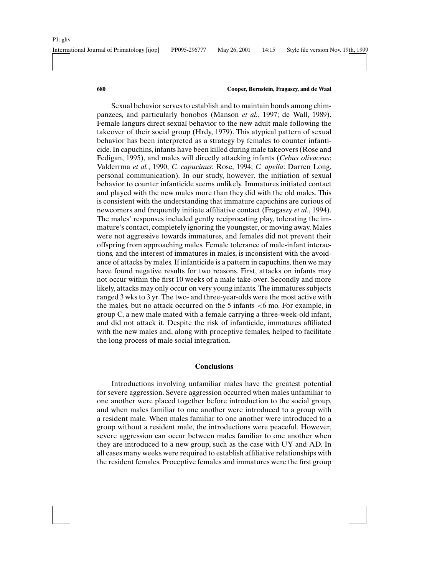Sexual behavior serves to establish and to maintain bonds among chimpanzees, and particularly bonobos (Manson *et al.*, 1997; de Wall, 1989). Female langurs direct sexual behavior to the new adult male following the takeover of their social group (Hrdy, 1979). This atypical pattern of sexual behavior has been interpreted as a strategy by females to counter infanticide. In capuchins, infants have been killed during male takeovers (Rose and Fedigan, 1995), and males will directly attacking infants (*Cebus olivaceus*: Valderrma *et al.*, 1990; *C. capucinus*: Rose, 1994; *C. apella*: Darren Long, personal communication). In our study, however, the initiation of sexual behavior to counter infanticide seems unlikely. Immatures initiated contact and played with the new males more than they did with the old males. This is consistent with the understanding that immature capuchins are curious of newcomers and frequently initiate affiliative contact (Fragaszy *et al.*, 1994). The males' responses included gently reciprocating play, tolerating the immature's contact, completely ignoring the youngster, or moving away. Males were not aggressive towards immatures, and females did not prevent their offspring from approaching males. Female tolerance of male-infant interactions, and the interest of immatures in males, is inconsistent with the avoidance of attacks by males. If infanticide is a pattern in capuchins, then we may have found negative results for two reasons. First, attacks on infants may not occur within the first 10 weeks of a male take-over. Secondly and more likely, attacks may only occur on very young infants. The immatures subjects ranged 3 wks to 3 yr. The two- and three-year-olds were the most active with the males, but no attack occurred on the 5 infants <6 mo. For example, in group C, a new male mated with a female carrying a three-week-old infant, and did not attack it. Despite the risk of infanticide, immatures affiliated with the new males and, along with proceptive females, helped to facilitate the long process of male social integration.

# **Conclusions**

Introductions involving unfamiliar males have the greatest potential for severe aggression. Severe aggression occurred when males unfamiliar to one another were placed together before introduction to the social group, and when males familiar to one another were introduced to a group with a resident male. When males familiar to one another were introduced to a group without a resident male, the introductions were peaceful. However, severe aggression can occur between males familiar to one another when they are introduced to a new group, such as the case with UY and AD. In all cases many weeks were required to establish affiliative relationships with the resident females. Proceptive females and immatures were the first group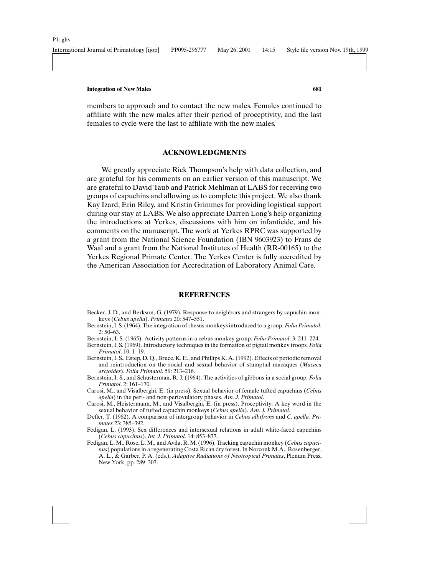members to approach and to contact the new males. Females continued to affiliate with the new males after their period of proceptivity, and the last females to cycle were the last to affiliate with the new males.

# **ACKNOWLEDGMENTS**

We greatly appreciate Rick Thompson's help with data collection, and are grateful for his comments on an earlier version of this manuscript. We are grateful to David Taub and Patrick Mehlman at LABS for receiving two groups of capuchins and allowing us to complete this project. We also thank Kay Izard, Erin Riley, and Kristin Grimmes for providing logistical support during our stay at LABS. We also appreciate Darren Long's help organizing the introductions at Yerkes, discussions with him on infanticide, and his comments on the manuscript. The work at Yerkes RPRC was supported by a grant from the National Science Foundation (IBN 9603923) to Frans de Waal and a grant from the National Institutes of Health (RR-00165) to the Yerkes Regional Primate Center. The Yerkes Center is fully accredited by the American Association for Accreditation of Laboratory Animal Care.

# **REFERENCES**

- Becker, J. D., and Berkson, G. (1979). Response to neighbors and strangers by capuchin monkeys (*Cebus apella*). *Primates* 20: 547–551.
- Bernstein, I. S. (1964). The integration of rhesus monkeys introduced to a group: *Folia Primatol*. 2: 50–63.
- Bernstein, I. S. (1965). Activity patterns in a cebus monkey group. *Folia Primatol*. 3: 211–224.
- Bernstein, I. S. (1969). Introductory techniques in the formation of pigtail monkey troops. *Folia Primatol*. 10: 1–19.
- Bernstein, I. S., Estep, D. Q., Bruce, K. E., and Phillips K. A. (1992). Effects of periodic removal and reintroduction on the social and sexual behavior of stumptail macaques (*Macaca arctoides*). *Folia Primatol*. 59: 213–216.
- Bernstein, I. S., and Schusterman, R. J. (1964). The activities of gibbons in a social group. *Folia Primatol*. 2: 161–170.
- Carosi, M., and Visalberghi, E. (in press). Sexual behavior of female tufted capuchins (*Cebus apella*) in the peri- and non-periovulatory phases. *Am. J. Primatol*.
- Carosi, M., Heistermann, M., and Visalberghi, E. (in press). Proceptivity: A key word in the sexual behavior of tufted capuchin monkeys (*Cebus apella*). *Am. J. Primatol*.
- Defler, T. (1982). A comparison of intergroup behavior in *Cebus albifrons* and *C. apella. Primates* 23: 385–392.
- Fedigan, L. (1993). Sex differences and intersexual relations in adult white-faced capuchins (*Cebus capucinus*). *Int. J. Primatol*. 14: 853–877.
- Fedigan, L. M., Rose, L. M., and Avila, R. M. (1996). Tracking capuchin monkey (*Cebus capucinus*) populations in a regenerating Costa Rican dry forest. In Norconk M.A., Rosenberger, A. L., & Garber, P. A. (eds.), *Adaptive Radiations of Neotropical Primates*, Plenum Press, New York, pp. 289–307.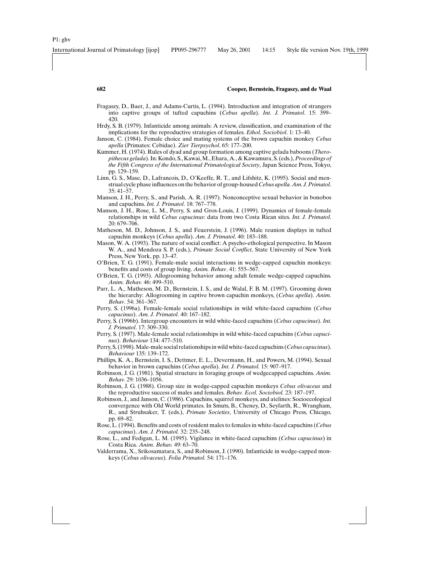- Fragaszy, D., Baer, J., and Adams-Curtis, L. (1994). Introduction and integration of strangers into captive groups of tufted capuchins (*Cebus apella*). *Int. J. Primatol*. 15: 399– 420.
- Hrdy, S. B. (1979). Infanticide among animals: A review, classification, and examination of the implications for the reproductive strategies of females. *Ethol. Sociobiol*. 1: 13–40.
- Janson, C. (1984). Female choice and mating systems of the brown capuchin monkey *Cebus apella* (Primates: Cebidae). *Zier Tierpsychol*. 65: 177–200.
- Kummer, H. (1974). Rules of dyad and group formation among captive gelada baboons (*Theropithecus gelada*). In: Kondo, S., Kawai, M., Ehara, A., & Kawamura, S. (eds.),*Proceedings of the Fifth Congress of the International Primatological Society*, Japan Science Press, Tokyo, pp. 129–159.
- Linn, G. S., Mase, D., Lafrancois, D., O'Keeffe, R. T., and Lifshitz, K. (1995). Social and menstrual cycle phase influences on the behavior of group-housed*Cebus apella. Am. J. Primatol*. 35: 41–57.
- Manson, J. H., Perry, S., and Parish, A. R. (1997). Nonconceptive sexual behavior in bonobos and capuchins. *Int. J. Primatol*. 18: 767–778.
- Manson, J. H., Rose, L. M., Perry, S. and Gros-Louis, J. (1999). Dynamics of female-female relationships in wild *Cebus capucinus*: data from two Costa Rican sites. *Int. J. Primatol*. 20: 679–706.
- Matheson, M. D., Johnson, J. S., and Feuerstein, J. (1996). Male reunion displays in tufted capuchin monkeys (*Cebus apella*). *Am. J. Primatol*. 40: 183–188.
- Mason, W. A. (1993). The nature of social conflict: A psycho-ethological perspective. In Mason W. A., and Mendoza S. P. (eds.), *Primate Social Conflict*, State University of New York Press, New York, pp. 13–47.
- O'Brien, T. G. (1991). Female-male social interactions in wedge-capped capuchin monkeys: benefits and costs of group living. *Anim. Behav*. 41: 555–567.
- O'Brien, T. G. (1993). Allogrooming behavior among adult female wedge-capped capuchins. *Anim. Behav.* 46: 499–510.
- Parr, L. A., Matheson, M. D., Bernstein, I. S., and de Walal, F. B. M. (1997). Grooming down the hierarchy: Allogrooming in captive brown capuchin monkeys, (*Cebus apella*). *Anim. Behav*. 54: 361–367.
- Perry, S. (1996a). Female-female social relationships in wild white-faced capuchins (*Cebus capucinus*). *Am. J. Primatol*. 40: 167–182.
- Perry, S. (1996b). Intergroup encounters in wild white-faced capuchins (*Cebus capucinus*). *Int. J. Primatol*. 17: 309–330.
- Perry, S. (1997). Male-female social relationships in wild white-faced capuchins (*Cebus capucinus*). *Behaviour* 134: 477–510.
- Perry, S. (1998). Male-male social relationships in wild white-faced capuchins (*Cebus capucinus*). *Behaviour* 135: 139–172.
- Phillips, K. A., Bernstein, I. S., Dettmer, E. L., Devermann, H., and Powers, M. (1994). Sexual behavior in brown capuchins (*Cebus apella*). *Int. J. Primatol.* 15: 907–917.
- Robinson, J. G. (1981). Spatial structure in foraging groups of wedgecapped capuchins. *Anim. Behav.* 29: 1036–1056.
- Robinson, J. G. (1988). Group size in wedge-capped capuchin monkeys *Cebus olivaceus* and the reproductive success of males and females. *Behav. Ecol. Sociobiol.* 23: 187–197.
- Robinson, J., and Janson, C. (1986). Capuchins, squirrel monkeys, and atelines: Socioecological convergence with Old World primates. In Smuts, B., Cheney, D., Seyfarth, R., Wrangham, R., and Struhsaker, T. (eds.), *Primate Societies*, University of Chicago Press, Chicago, pp. 69–82.
- Rose, L. (1994). Benefits and costs of resident males to females in white-faced capuchins (*Cebus capucinus*). *Am. J. Primatol.* 32: 235–248.
- Rose, L., and Fedigan, L. M. (1995). Vigilance in white-faced capuchins (*Cebus capucinus*) in Costa Rica. *Anim. Behav.* 49: 63–70.
- Valderrama, X., Srikosamatara, S., and Robinson, J. (1990). Infanticide in wedge-capped monkeys (*Cebus olivaceus*). *Folia Primatol.* 54: 171–176.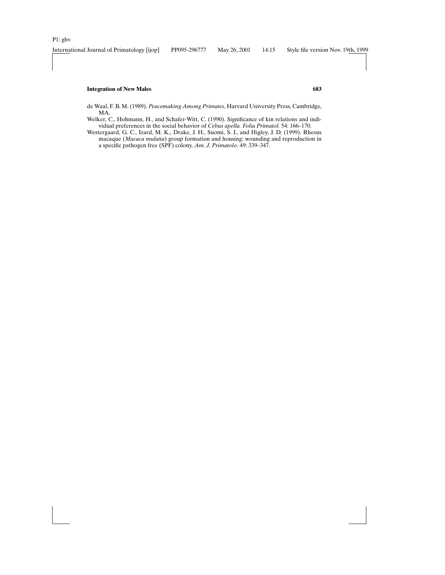- Welker, C., Hohmann, H., and Schafer-Witt, C. (1990). Significance of kin relations and individual preferences in the social behavior of *Cebus apella. Folia Primatol.* 54: 166–170.
- Westergaard, G. C., Izard, M. K., Drake, J. H., Suomi, S. J., and Higley, J. D. (1999). Rhesus macaque (*Macaca mulatta*) group formation and housing: wounding and reproduction in a specific pathogen free (SPF) colony. *Am. J. Primatolo*. 49: 339–347.